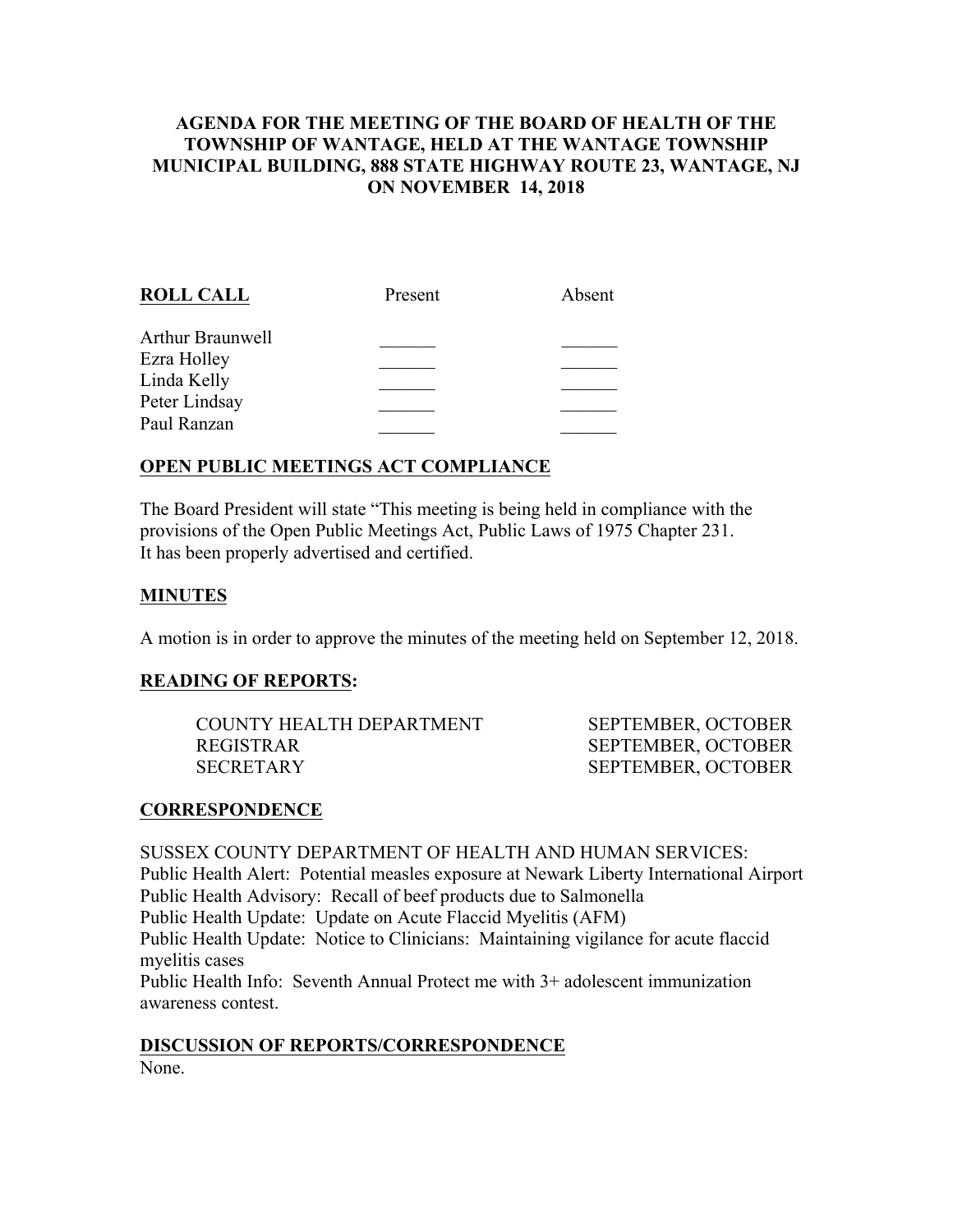# **AGENDA FOR THE MEETING OF THE BOARD OF HEALTH OF THE TOWNSHIP OF WANTAGE, HELD AT THE WANTAGE TOWNSHIP MUNICIPAL BUILDING, 888 STATE HIGHWAY ROUTE 23, WANTAGE, NJ ON NOVEMBER 14, 2018**

| <b>ROLL CALL</b> | Present | Absent |
|------------------|---------|--------|
| Arthur Braunwell |         |        |
| Ezra Holley      |         |        |
| Linda Kelly      |         |        |
| Peter Lindsay    |         |        |
| Paul Ranzan      |         |        |
|                  |         |        |

# **OPEN PUBLIC MEETINGS ACT COMPLIANCE**

The Board President will state "This meeting is being held in compliance with the provisions of the Open Public Meetings Act, Public Laws of 1975 Chapter 231. It has been properly advertised and certified.

## **MINUTES**

A motion is in order to approve the minutes of the meeting held on September 12, 2018.

#### **READING OF REPORTS:**

| COUNTY HEALTH DEPARTMENT | <b>SEPTEMBER</b> |
|--------------------------|------------------|
| REGISTRAR                | <b>SEPTEMBEE</b> |
| SECRETARY                | <b>SEPTEMBEE</b> |

R, OCTOBER R. OCTOBER R, OCTOBER

#### **CORRESPONDENCE**

SUSSEX COUNTY DEPARTMENT OF HEALTH AND HUMAN SERVICES: Public Health Alert: Potential measles exposure at Newark Liberty International Airport Public Health Advisory: Recall of beef products due to Salmonella Public Health Update: Update on Acute Flaccid Myelitis (AFM) Public Health Update: Notice to Clinicians: Maintaining vigilance for acute flaccid myelitis cases Public Health Info: Seventh Annual Protect me with 3+ adolescent immunization awareness contest.

#### **DISCUSSION OF REPORTS/CORRESPONDENCE**

None.